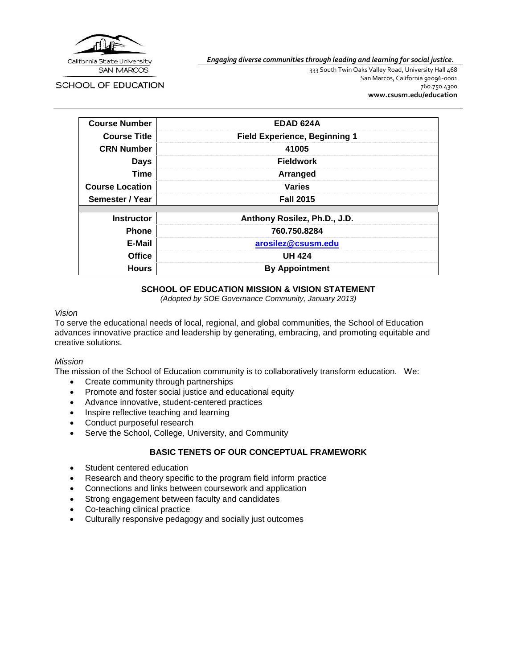

*Engaging diverse communities through leading and learning for social justice.*

**SCHOOL OF EDUCATION** 

333 South Twin Oaks Valley Road, University Hall 468 San Marcos, California 92096-0001 760.750.4300 **[www.csusm.edu/education](http://www.csusm.edu/education)**

| <b>Course Number</b>   | <b>EDAD 624A</b>                     |
|------------------------|--------------------------------------|
| <b>Course Title</b>    | <b>Field Experience, Beginning 1</b> |
| <b>CRN Number</b>      | 41005                                |
| <b>Days</b>            | <b>Fieldwork</b>                     |
| <b>Time</b>            | Arranged                             |
| <b>Course Location</b> | <b>Varies</b>                        |
| Semester / Year        | <b>Fall 2015</b>                     |
|                        |                                      |
| <b>Instructor</b>      | Anthony Rosilez, Ph.D., J.D.         |
| <b>Phone</b>           | 760.750.8284                         |
| E-Mail                 | arosilez@csusm.edu                   |
| <b>Office</b>          | <b>UH 424</b>                        |
| <b>Hours</b>           | <b>By Appointment</b>                |

# **SCHOOL OF EDUCATION MISSION & VISION STATEMENT**

*(Adopted by SOE Governance Community, January 2013)*

## *Vision*

To serve the educational needs of local, regional, and global communities, the School of Education advances innovative practice and leadership by generating, embracing, and promoting equitable and creative solutions.

### *Mission*

The mission of the School of Education community is to collaboratively transform education. We:

- Create community through partnerships
- Promote and foster social justice and educational equity
- Advance innovative, student-centered practices
- Inspire reflective teaching and learning
- Conduct purposeful research
- Serve the School, College, University, and Community

### **BASIC TENETS OF OUR CONCEPTUAL FRAMEWORK**

- Student centered education
- Research and theory specific to the program field inform practice
- Connections and links between coursework and application
- Strong engagement between faculty and candidates
- Co-teaching clinical practice
- Culturally responsive pedagogy and socially just outcomes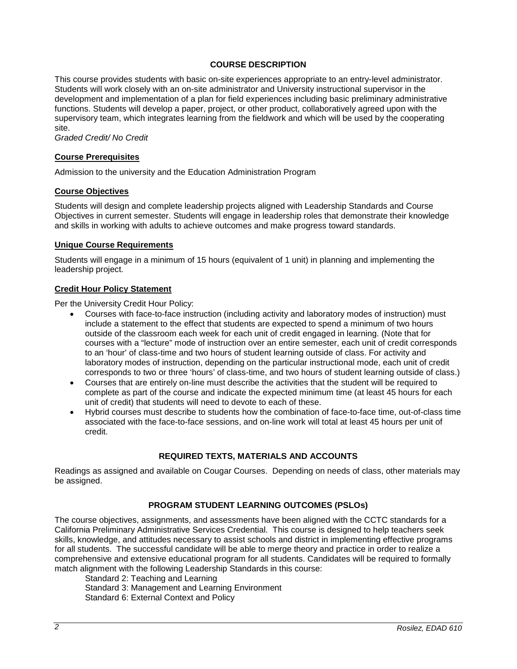## **COURSE DESCRIPTION**

This course provides students with basic on-site experiences appropriate to an entry-level administrator. Students will work closely with an on-site administrator and University instructional supervisor in the development and implementation of a plan for field experiences including basic preliminary administrative functions. Students will develop a paper, project, or other product, collaboratively agreed upon with the supervisory team, which integrates learning from the fieldwork and which will be used by the cooperating site.

*Graded Credit/ No Credit*

### **Course Prerequisites**

Admission to the university and the Education Administration Program

### **Course Objectives**

Students will design and complete leadership projects aligned with Leadership Standards and Course Objectives in current semester. Students will engage in leadership roles that demonstrate their knowledge and skills in working with adults to achieve outcomes and make progress toward standards.

#### **Unique Course Requirements**

Students will engage in a minimum of 15 hours (equivalent of 1 unit) in planning and implementing the leadership project.

## **Credit Hour Policy Statement**

Per the University Credit Hour Policy:

- Courses with face-to-face instruction (including activity and laboratory modes of instruction) must include a statement to the effect that students are expected to spend a minimum of two hours outside of the classroom each week for each unit of credit engaged in learning. (Note that for courses with a "lecture" mode of instruction over an entire semester, each unit of credit corresponds to an 'hour' of class-time and two hours of student learning outside of class. For activity and laboratory modes of instruction, depending on the particular instructional mode, each unit of credit corresponds to two or three 'hours' of class-time, and two hours of student learning outside of class.)
- Courses that are entirely on-line must describe the activities that the student will be required to complete as part of the course and indicate the expected minimum time (at least 45 hours for each unit of credit) that students will need to devote to each of these.
- Hybrid courses must describe to students how the combination of face-to-face time, out-of-class time associated with the face-to-face sessions, and on-line work will total at least 45 hours per unit of credit.

### **REQUIRED TEXTS, MATERIALS AND ACCOUNTS**

Readings as assigned and available on Cougar Courses. Depending on needs of class, other materials may be assigned.

### **PROGRAM STUDENT LEARNING OUTCOMES (PSLOs)**

The course objectives, assignments, and assessments have been aligned with the CCTC standards for a California Preliminary Administrative Services Credential. This course is designed to help teachers seek skills, knowledge, and attitudes necessary to assist schools and district in implementing effective programs for all students. The successful candidate will be able to merge theory and practice in order to realize a comprehensive and extensive educational program for all students. Candidates will be required to formally match alignment with the following Leadership Standards in this course:

Standard 2: Teaching and Learning Standard 3: Management and Learning Environment Standard 6: External Context and Policy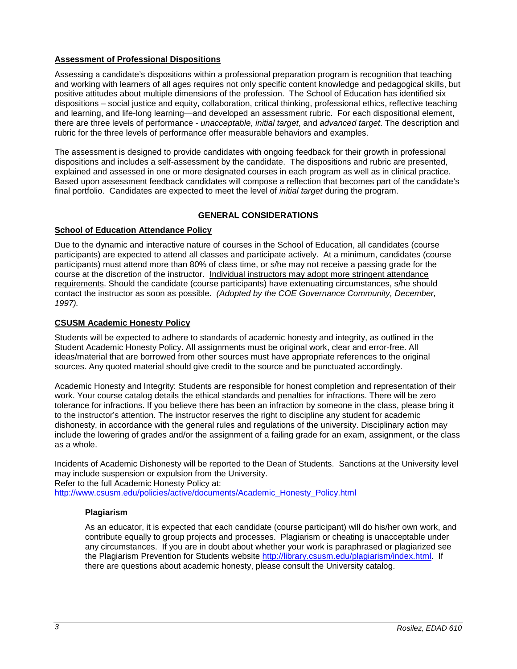# **Assessment of Professional Dispositions**

Assessing a candidate's dispositions within a professional preparation program is recognition that teaching and working with learners of all ages requires not only specific content knowledge and pedagogical skills, but positive attitudes about multiple dimensions of the profession. The School of Education has identified six dispositions – social justice and equity, collaboration, critical thinking, professional ethics, reflective teaching and learning, and life-long learning—and developed an assessment rubric. For each dispositional element, there are three levels of performance - *unacceptable*, *initial target*, and *advanced target*. The description and rubric for the three levels of performance offer measurable behaviors and examples.

The assessment is designed to provide candidates with ongoing feedback for their growth in professional dispositions and includes a self-assessment by the candidate. The dispositions and rubric are presented, explained and assessed in one or more designated courses in each program as well as in clinical practice. Based upon assessment feedback candidates will compose a reflection that becomes part of the candidate's final portfolio. Candidates are expected to meet the level of *initial target* during the program.

## **GENERAL CONSIDERATIONS**

## **School of Education Attendance Policy**

Due to the dynamic and interactive nature of courses in the School of Education, all candidates (course participants) are expected to attend all classes and participate actively. At a minimum, candidates (course participants) must attend more than 80% of class time, or s/he may not receive a passing grade for the course at the discretion of the instructor. Individual instructors may adopt more stringent attendance requirements. Should the candidate (course participants) have extenuating circumstances, s/he should contact the instructor as soon as possible. *(Adopted by the COE Governance Community, December, 1997).*

## **CSUSM Academic Honesty Policy**

Students will be expected to adhere to standards of academic honesty and integrity, as outlined in the Student Academic Honesty Policy. All assignments must be original work, clear and error-free. All ideas/material that are borrowed from other sources must have appropriate references to the original sources. Any quoted material should give credit to the source and be punctuated accordingly.

Academic Honesty and Integrity: Students are responsible for honest completion and representation of their work. Your course catalog details the ethical standards and penalties for infractions. There will be zero tolerance for infractions. If you believe there has been an infraction by someone in the class, please bring it to the instructor's attention. The instructor reserves the right to discipline any student for academic dishonesty, in accordance with the general rules and regulations of the university. Disciplinary action may include the lowering of grades and/or the assignment of a failing grade for an exam, assignment, or the class as a whole.

Incidents of Academic Dishonesty will be reported to the Dean of Students. Sanctions at the University level may include suspension or expulsion from the University. Refer to the full Academic Honesty Policy at:

[http://www.csusm.edu/policies/active/documents/Academic\\_Honesty\\_Policy.html](http://www.csusm.edu/policies/active/documents/Academic_Honesty_Policy.html)

### **Plagiarism**

As an educator, it is expected that each candidate (course participant) will do his/her own work, and contribute equally to group projects and processes. Plagiarism or cheating is unacceptable under any circumstances. If you are in doubt about whether your work is paraphrased or plagiarized see the Plagiarism Prevention for Students website [http://library.csusm.edu/plagiarism/index.html.](http://library.csusm.edu/plagiarism/index.html) If there are questions about academic honesty, please consult the University catalog.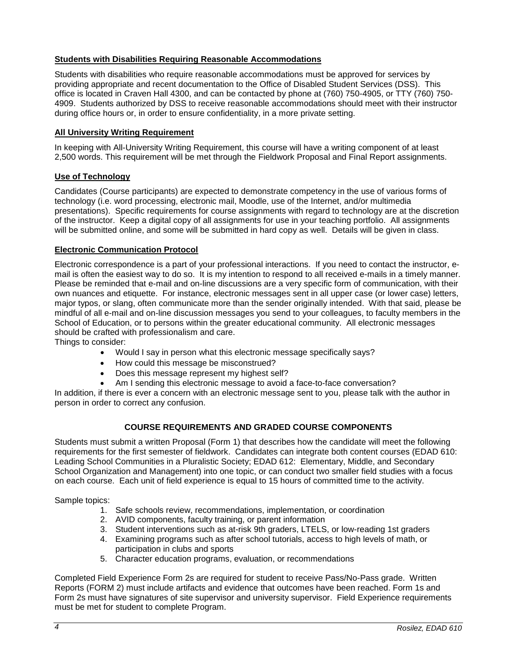# **Students with Disabilities Requiring Reasonable Accommodations**

Students with disabilities who require reasonable accommodations must be approved for services by providing appropriate and recent documentation to the Office of Disabled Student Services (DSS). This office is located in Craven Hall 4300, and can be contacted by phone at (760) 750-4905, or TTY (760) 750- 4909. Students authorized by DSS to receive reasonable accommodations should meet with their instructor during office hours or, in order to ensure confidentiality, in a more private setting.

## **All University Writing Requirement**

In keeping with All-University Writing Requirement, this course will have a writing component of at least 2,500 words. This requirement will be met through the Fieldwork Proposal and Final Report assignments.

## **Use of Technology**

Candidates (Course participants) are expected to demonstrate competency in the use of various forms of technology (i.e. word processing, electronic mail, Moodle, use of the Internet, and/or multimedia presentations). Specific requirements for course assignments with regard to technology are at the discretion of the instructor. Keep a digital copy of all assignments for use in your teaching portfolio. All assignments will be submitted online, and some will be submitted in hard copy as well. Details will be given in class.

## **Electronic Communication Protocol**

Electronic correspondence is a part of your professional interactions. If you need to contact the instructor, email is often the easiest way to do so. It is my intention to respond to all received e-mails in a timely manner. Please be reminded that e-mail and on-line discussions are a very specific form of communication, with their own nuances and etiquette. For instance, electronic messages sent in all upper case (or lower case) letters, major typos, or slang, often communicate more than the sender originally intended. With that said, please be mindful of all e-mail and on-line discussion messages you send to your colleagues, to faculty members in the School of Education, or to persons within the greater educational community. All electronic messages should be crafted with professionalism and care.

Things to consider:

- Would I say in person what this electronic message specifically says?
- How could this message be misconstrued?
- Does this message represent my highest self?
- Am I sending this electronic message to avoid a face-to-face conversation?

In addition, if there is ever a concern with an electronic message sent to you, please talk with the author in person in order to correct any confusion.

# **COURSE REQUIREMENTS AND GRADED COURSE COMPONENTS**

Students must submit a written Proposal (Form 1) that describes how the candidate will meet the following requirements for the first semester of fieldwork. Candidates can integrate both content courses (EDAD 610: Leading School Communities in a Pluralistic Society; EDAD 612: Elementary, Middle, and Secondary School Organization and Management) into one topic, or can conduct two smaller field studies with a focus on each course. Each unit of field experience is equal to 15 hours of committed time to the activity.

Sample topics:

- 1. Safe schools review, recommendations, implementation, or coordination
- 2. AVID components, faculty training, or parent information
- 3. Student interventions such as at-risk 9th graders, LTELS, or low-reading 1st graders
- 4. Examining programs such as after school tutorials, access to high levels of math, or participation in clubs and sports
- 5. Character education programs, evaluation, or recommendations

Completed Field Experience Form 2s are required for student to receive Pass/No-Pass grade. Written Reports (FORM 2) must include artifacts and evidence that outcomes have been reached. Form 1s and Form 2s must have signatures of site supervisor and university supervisor. Field Experience requirements must be met for student to complete Program.